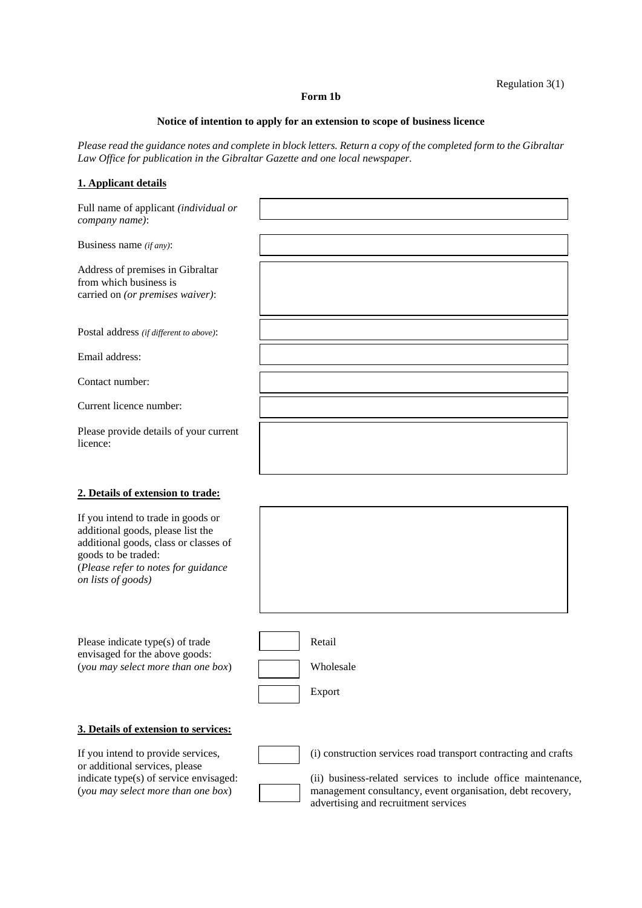## Regulation 3(1)

## **Form 1b**

## **Notice of intention to apply for an extension to scope of business licence**

*Please read the guidance notes and complete in block letters. Return a copy of the completed form to the Gibraltar Law Office for publication in the Gibraltar Gazette and one local newspaper.* 

## **1. Applicant details**

| Full name of applicant (individual or<br>company name):                                                                                                                                              |                                                                                                                                  |
|------------------------------------------------------------------------------------------------------------------------------------------------------------------------------------------------------|----------------------------------------------------------------------------------------------------------------------------------|
| Business name $(if any)$ :                                                                                                                                                                           |                                                                                                                                  |
| Address of premises in Gibraltar<br>from which business is<br>carried on (or premises waiver):                                                                                                       |                                                                                                                                  |
| Postal address (if different to above):                                                                                                                                                              |                                                                                                                                  |
| Email address:                                                                                                                                                                                       |                                                                                                                                  |
| Contact number:                                                                                                                                                                                      |                                                                                                                                  |
| Current licence number:                                                                                                                                                                              |                                                                                                                                  |
| Please provide details of your current<br>licence:                                                                                                                                                   |                                                                                                                                  |
| 2. Details of extension to trade:                                                                                                                                                                    |                                                                                                                                  |
| If you intend to trade in goods or<br>additional goods, please list the<br>additional goods, class or classes of<br>goods to be traded:<br>(Please refer to notes for guidance<br>on lists of goods) |                                                                                                                                  |
| Please indicate type(s) of trade<br>envisaged for the above goods:<br>(you may select more than one box)                                                                                             | Retail<br>Wholesale<br>Export                                                                                                    |
| 3. Details of extension to services:                                                                                                                                                                 |                                                                                                                                  |
| If you intend to provide services,<br>or additional services, please<br>indicate type(s) of service envisaged:                                                                                       | (i) construction services road transport contracting and crafts<br>(ii) business-related services to include office maintenance, |

(*you may select more than one box*) management consultancy, event organisation, debt recovery, advertising and recruitment services